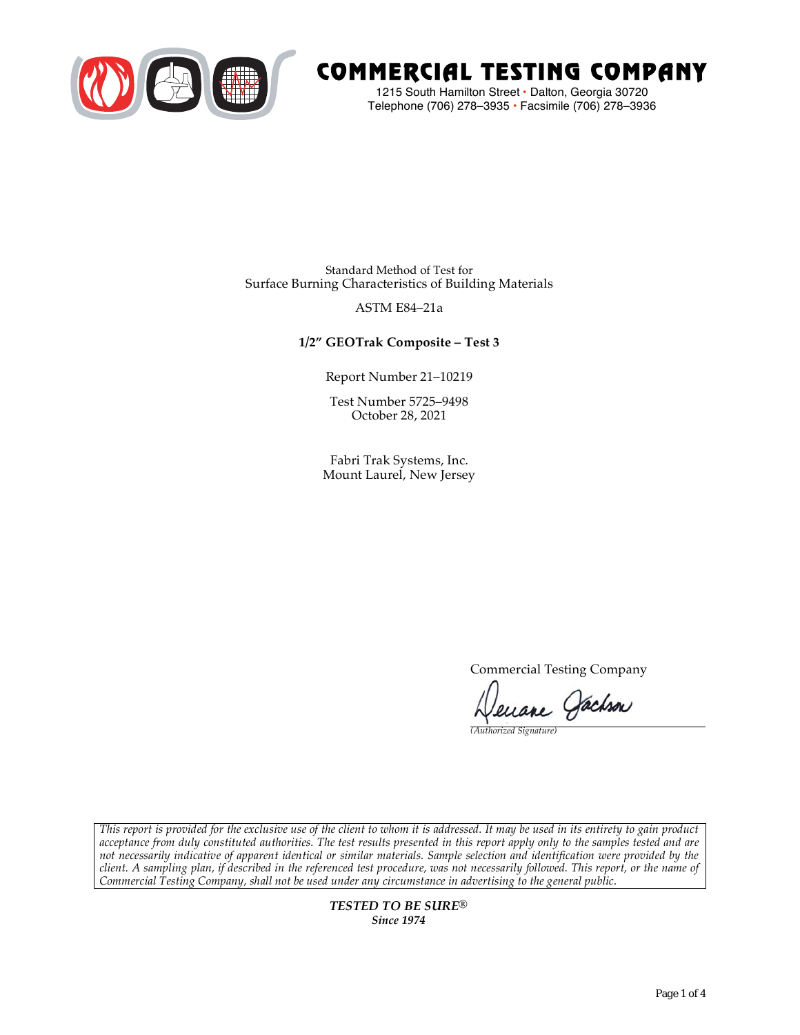

# COMMERCIAL TESTING COMPANY

1215 South Hamilton Street • Dalton, Georgia 30720 Telephone (706) 278–3935 **•** Facsimile (706) 278–3936

Standard Method of Test for Surface Burning Characteristics of Building Materials

### ASTM E84–21a

## **1/2" GEOTrak Composite – Test 3**

Report Number 21–10219

Test Number 5725–9498 October 28, 2021

Fabri Trak Systems, Inc. Mount Laurel, New Jersey

Commercial Testing Company

Jenane Jachson

*(Authorized Signature)* 

*This report is provided for the exclusive use of the client to whom it is addressed. It may be used in its entirety to gain product acceptance from duly constituted authorities. The test results presented in this report apply only to the samples tested and are not necessarily indicative of apparent identical or similar materials. Sample selection and identification were provided by the client. A sampling plan, if described in the referenced test procedure, was not necessarily followed. This report, or the name of Commercial Testing Company, shall not be used under any circumstance in advertising to the general public.* 

> *TESTED TO BE SURE® Since 1974*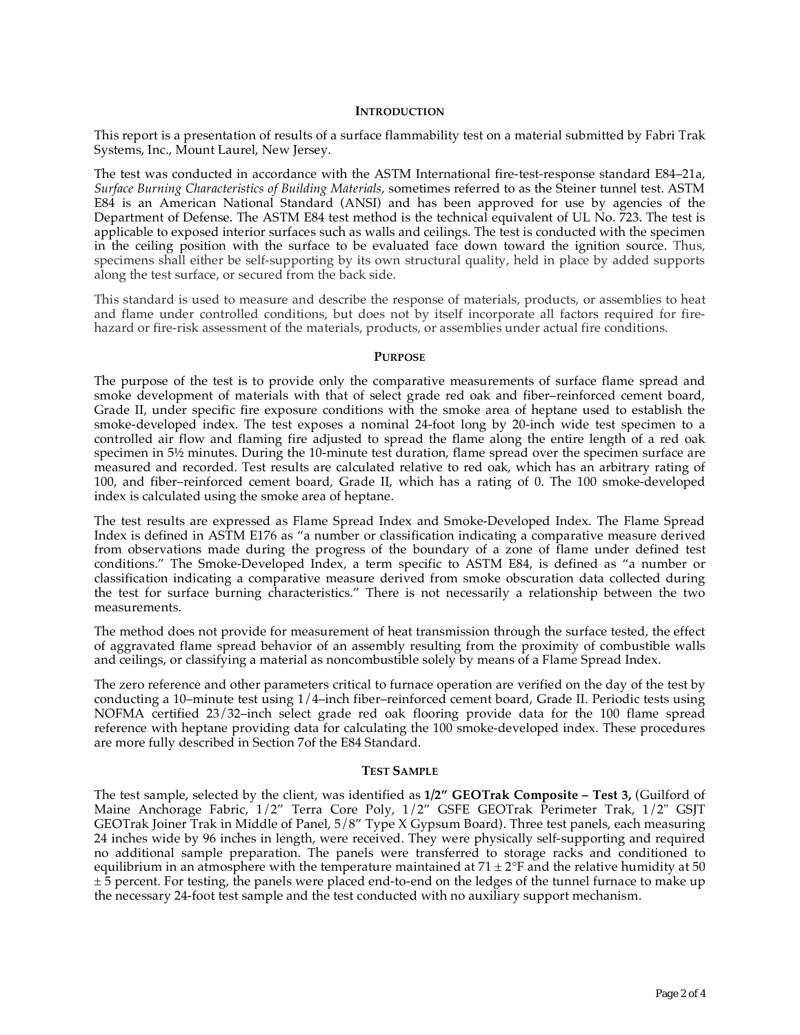#### **INTRODUCTION**

This report is a presentation of results of a surface flammability test on a material submitted by Fabri Trak Systems, Inc., Mount Laurel, New Jersey.

The test was conducted in accordance with the ASTM International fire-test-response standard E84–21a, *Surface Burning Characteristics of Building Materials*, sometimes referred to as the Steiner tunnel test. ASTM E84 is an American National Standard (ANSI) and has been approved for use by agencies of the Department of Defense. The ASTM E84 test method is the technical equivalent of UL No. 723. The test is applicable to exposed interior surfaces such as walls and ceilings. The test is conducted with the specimen in the ceiling position with the surface to be evaluated face down toward the ignition source. Thus, specimens shall either be self-supporting by its own structural quality, held in place by added supports along the test surface, or secured from the back side.

This standard is used to measure and describe the response of materials, products, or assemblies to heat and flame under controlled conditions, but does not by itself incorporate all factors required for firehazard or fire-risk assessment of the materials, products, or assemblies under actual fire conditions.

#### **PURPOSE**

The purpose of the test is to provide only the comparative measurements of surface flame spread and smoke development of materials with that of select grade red oak and fiber–reinforced cement board, Grade II, under specific fire exposure conditions with the smoke area of heptane used to establish the smoke-developed index. The test exposes a nominal 24-foot long by 20-inch wide test specimen to a controlled air flow and flaming fire adjusted to spread the flame along the entire length of a red oak specimen in  $5\frac{1}{2}$  minutes. During the 10-minute test duration, flame spread over the specimen surface are measured and recorded. Test results are calculated relative to red oak, which has an arbitrary rating of 100, and fiber–reinforced cement board, Grade II, which has a rating of 0. The 100 smoke-developed index is calculated using the smoke area of heptane.

The test results are expressed as Flame Spread Index and Smoke-Developed Index. The Flame Spread Index is defined in ASTM E176 as "a number or classification indicating a comparative measure derived from observations made during the progress of the boundary of a zone of flame under defined test conditions." The Smoke-Developed Index, a term specific to ASTM E84, is defined as "a number or classification indicating a comparative measure derived from smoke obscuration data collected during the test for surface burning characteristics." There is not necessarily a relationship between the two measurements.

The method does not provide for measurement of heat transmission through the surface tested, the effect of aggravated flame spread behavior of an assembly resulting from the proximity of combustible walls and ceilings, or classifying a material as noncombustible solely by means of a Flame Spread Index.

The zero reference and other parameters critical to furnace operation are verified on the day of the test by conducting a 10–minute test using 1/4–inch fiber–reinforced cement board, Grade II. Periodic tests using NOFMA certified 23/32–inch select grade red oak flooring provide data for the 100 flame spread reference with heptane providing data for calculating the 100 smoke-developed index. These procedures are more fully described in Section 7of the E84 Standard.

#### **TEST SAMPLE**

The test sample, selected by the client, was identified as **1/2" GEOTrak Composite – Test 3,** (Guilford of Maine Anchorage Fabric, 1/2" Terra Core Poly, 1/2" GSFE GEOTrak Perimeter Trak, 1/2" GSJT GEOTrak Joiner Trak in Middle of Panel, 5/8" Type X Gypsum Board). Three test panels, each measuring 24 inches wide by 96 inches in length, were received. They were physically self-supporting and required no additional sample preparation. The panels were transferred to storage racks and conditioned to equilibrium in an atmosphere with the temperature maintained at  $71 \pm 2$ °F and the relative humidity at 50  $\pm$  5 percent. For testing, the panels were placed end-to-end on the ledges of the tunnel furnace to make up the necessary 24-foot test sample and the test conducted with no auxiliary support mechanism.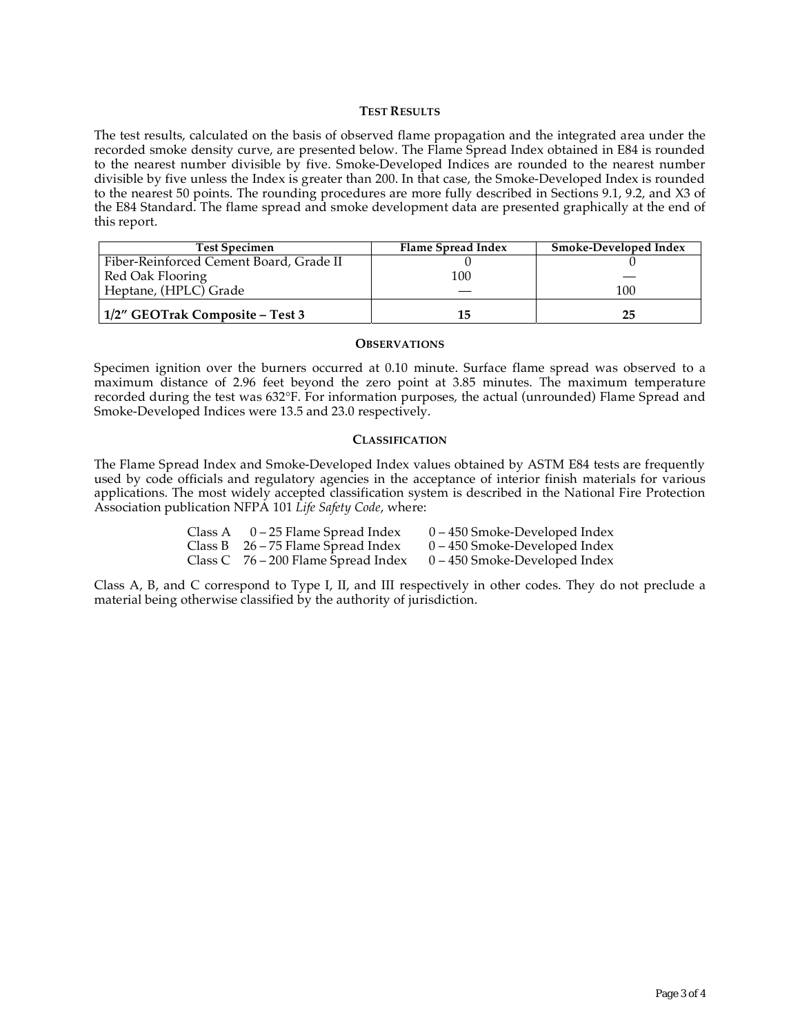#### **TEST RESULTS**

The test results, calculated on the basis of observed flame propagation and the integrated area under the recorded smoke density curve, are presented below. The Flame Spread Index obtained in E84 is rounded to the nearest number divisible by five. Smoke-Developed Indices are rounded to the nearest number divisible by five unless the Index is greater than 200. In that case, the Smoke-Developed Index is rounded to the nearest 50 points. The rounding procedures are more fully described in Sections 9.1, 9.2, and X3 of the E84 Standard. The flame spread and smoke development data are presented graphically at the end of this report.

| <b>Test Specimen</b>                    | Flame Spread Index | Smoke-Developed Index |
|-----------------------------------------|--------------------|-----------------------|
| Fiber-Reinforced Cement Board, Grade II |                    |                       |
| Red Oak Flooring                        | 100                |                       |
| Heptane, (HPLC) Grade                   |                    | 100                   |
| 1/2" GEOTrak Composite – Test 3         | 15                 | 25                    |

#### **OBSERVATIONS**

Specimen ignition over the burners occurred at 0.10 minute. Surface flame spread was observed to a maximum distance of 2.96 feet beyond the zero point at 3.85 minutes. The maximum temperature recorded during the test was 632°F. For information purposes, the actual (unrounded) Flame Spread and Smoke-Developed Indices were 13.5 and 23.0 respectively.

#### **CLASSIFICATION**

The Flame Spread Index and Smoke-Developed Index values obtained by ASTM E84 tests are frequently used by code officials and regulatory agencies in the acceptance of interior finish materials for various applications. The most widely accepted classification system is described in the National Fire Protection Association publication NFPA 101 *Life Safety Code*, where:

| Class A $0-25$ Flame Spread Index     | $0 - 450$ Smoke-Developed Index |
|---------------------------------------|---------------------------------|
| Class B $26 - 75$ Flame Spread Index  | $0 - 450$ Smoke-Developed Index |
| Class C $76 - 200$ Flame Spread Index | $0 - 450$ Smoke-Developed Index |

Class A, B, and C correspond to Type I, II, and III respectively in other codes. They do not preclude a material being otherwise classified by the authority of jurisdiction.